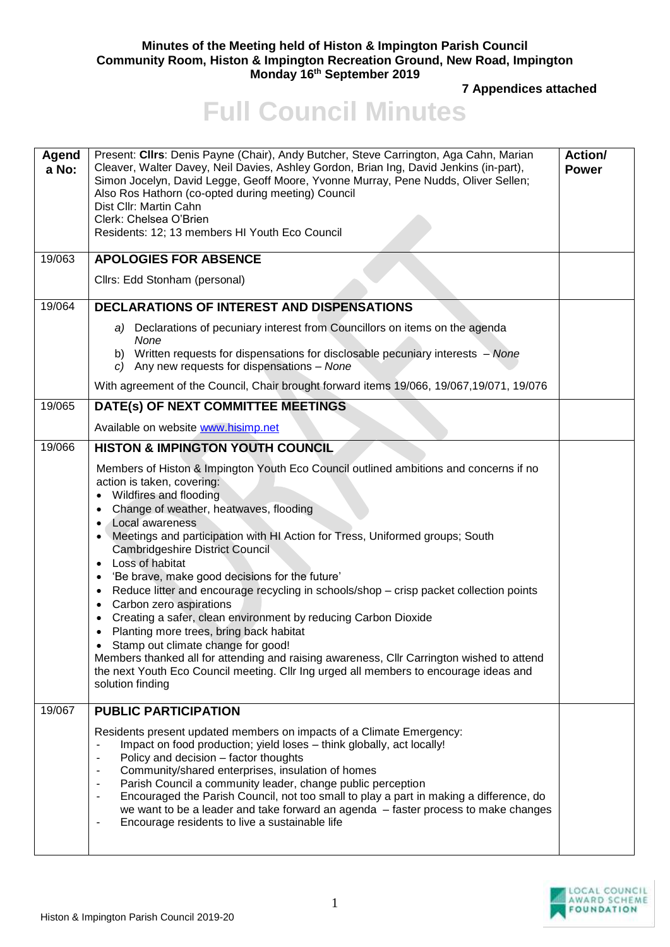## **Minutes of the Meeting held of Histon & Impington Parish Council Community Room, Histon & Impington Recreation Ground, New Road, Impington Monday 16th September 2019**

**7 Appendices attached**

## **Full Council Minutes**

| Agend<br>a No: | Present: Cllrs: Denis Payne (Chair), Andy Butcher, Steve Carrington, Aga Cahn, Marian<br>Cleaver, Walter Davey, Neil Davies, Ashley Gordon, Brian Ing, David Jenkins (in-part),<br>Simon Jocelyn, David Legge, Geoff Moore, Yvonne Murray, Pene Nudds, Oliver Sellen;<br>Also Ros Hathorn (co-opted during meeting) Council<br>Dist Cllr: Martin Cahn<br>Clerk: Chelsea O'Brien<br>Residents: 12; 13 members HI Youth Eco Council                                                                                                                                                                                                                                                                                                                                                                                                                                                                                                  | Action/<br><b>Power</b> |
|----------------|------------------------------------------------------------------------------------------------------------------------------------------------------------------------------------------------------------------------------------------------------------------------------------------------------------------------------------------------------------------------------------------------------------------------------------------------------------------------------------------------------------------------------------------------------------------------------------------------------------------------------------------------------------------------------------------------------------------------------------------------------------------------------------------------------------------------------------------------------------------------------------------------------------------------------------|-------------------------|
| 19/063         | <b>APOLOGIES FOR ABSENCE</b>                                                                                                                                                                                                                                                                                                                                                                                                                                                                                                                                                                                                                                                                                                                                                                                                                                                                                                       |                         |
|                | Cllrs: Edd Stonham (personal)                                                                                                                                                                                                                                                                                                                                                                                                                                                                                                                                                                                                                                                                                                                                                                                                                                                                                                      |                         |
| 19/064         | <b>DECLARATIONS OF INTEREST AND DISPENSATIONS</b>                                                                                                                                                                                                                                                                                                                                                                                                                                                                                                                                                                                                                                                                                                                                                                                                                                                                                  |                         |
|                | a) Declarations of pecuniary interest from Councillors on items on the agenda<br>None<br>b) Written requests for dispensations for disclosable pecuniary interests - None<br>c) Any new requests for dispensations - None                                                                                                                                                                                                                                                                                                                                                                                                                                                                                                                                                                                                                                                                                                          |                         |
|                | With agreement of the Council, Chair brought forward items 19/066, 19/067,19/071, 19/076                                                                                                                                                                                                                                                                                                                                                                                                                                                                                                                                                                                                                                                                                                                                                                                                                                           |                         |
| 19/065         | DATE(s) OF NEXT COMMITTEE MEETINGS                                                                                                                                                                                                                                                                                                                                                                                                                                                                                                                                                                                                                                                                                                                                                                                                                                                                                                 |                         |
|                | Available on website www.hisimp.net                                                                                                                                                                                                                                                                                                                                                                                                                                                                                                                                                                                                                                                                                                                                                                                                                                                                                                |                         |
| 19/066         | <b>HISTON &amp; IMPINGTON YOUTH COUNCIL</b>                                                                                                                                                                                                                                                                                                                                                                                                                                                                                                                                                                                                                                                                                                                                                                                                                                                                                        |                         |
|                | Members of Histon & Impington Youth Eco Council outlined ambitions and concerns if no<br>action is taken, covering:<br>Wildfires and flooding<br>Change of weather, heatwaves, flooding<br>Local awareness<br>Meetings and participation with HI Action for Tress, Uniformed groups; South<br><b>Cambridgeshire District Council</b><br>Loss of habitat<br>$\bullet$<br>'Be brave, make good decisions for the future'<br>$\bullet$<br>Reduce litter and encourage recycling in schools/shop - crisp packet collection points<br>$\bullet$<br>Carbon zero aspirations<br>Creating a safer, clean environment by reducing Carbon Dioxide<br>Planting more trees, bring back habitat<br>Stamp out climate change for good!<br>Members thanked all for attending and raising awareness, Cllr Carrington wished to attend<br>the next Youth Eco Council meeting. Cllr Ing urged all members to encourage ideas and<br>solution finding |                         |
| 19/067         | <b>PUBLIC PARTICIPATION</b>                                                                                                                                                                                                                                                                                                                                                                                                                                                                                                                                                                                                                                                                                                                                                                                                                                                                                                        |                         |
|                | Residents present updated members on impacts of a Climate Emergency:<br>Impact on food production; yield loses - think globally, act locally!<br>Policy and decision - factor thoughts<br>$\overline{\phantom{a}}$<br>Community/shared enterprises, insulation of homes<br>۰<br>Parish Council a community leader, change public perception<br>$\blacksquare$<br>Encouraged the Parish Council, not too small to play a part in making a difference, do<br>$\blacksquare$<br>we want to be a leader and take forward an agenda - faster process to make changes<br>Encourage residents to live a sustainable life<br>۰                                                                                                                                                                                                                                                                                                             |                         |

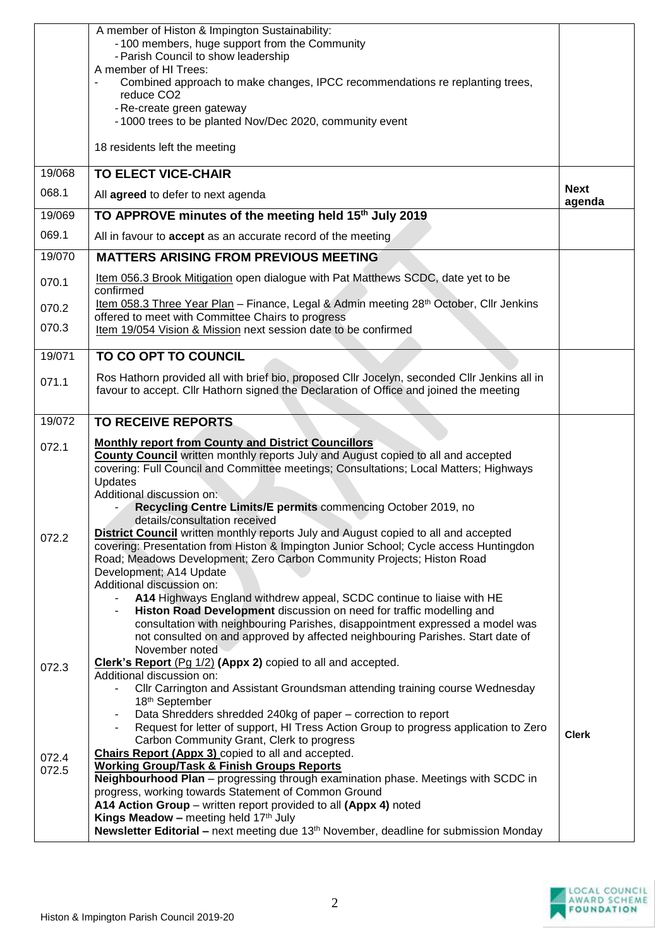|        | A member of Histon & Impington Sustainability:                                                                                                                                    |                       |
|--------|-----------------------------------------------------------------------------------------------------------------------------------------------------------------------------------|-----------------------|
|        | -100 members, huge support from the Community<br>- Parish Council to show leadership                                                                                              |                       |
|        | A member of HI Trees:                                                                                                                                                             |                       |
|        | Combined approach to make changes, IPCC recommendations re replanting trees,<br>reduce CO <sub>2</sub>                                                                            |                       |
|        | - Re-create green gateway                                                                                                                                                         |                       |
|        | -1000 trees to be planted Nov/Dec 2020, community event                                                                                                                           |                       |
|        | 18 residents left the meeting                                                                                                                                                     |                       |
| 19/068 | <b>TO ELECT VICE-CHAIR</b>                                                                                                                                                        |                       |
| 068.1  | All agreed to defer to next agenda                                                                                                                                                | <b>Next</b><br>agenda |
| 19/069 | TO APPROVE minutes of the meeting held 15 <sup>th</sup> July 2019                                                                                                                 |                       |
| 069.1  | All in favour to accept as an accurate record of the meeting                                                                                                                      |                       |
| 19/070 | <b>MATTERS ARISING FROM PREVIOUS MEETING</b>                                                                                                                                      |                       |
| 070.1  | Item 056.3 Brook Mitigation open dialogue with Pat Matthews SCDC, date yet to be<br>confirmed                                                                                     |                       |
| 070.2  | Item 058.3 Three Year Plan - Finance, Legal & Admin meeting 28th October, Cllr Jenkins                                                                                            |                       |
| 070.3  | offered to meet with Committee Chairs to progress<br>Item 19/054 Vision & Mission next session date to be confirmed                                                               |                       |
|        |                                                                                                                                                                                   |                       |
| 19/071 | TO CO OPT TO COUNCIL                                                                                                                                                              |                       |
| 071.1  | Ros Hathorn provided all with brief bio, proposed Cllr Jocelyn, seconded Cllr Jenkins all in                                                                                      |                       |
|        | favour to accept. Cllr Hathorn signed the Declaration of Office and joined the meeting                                                                                            |                       |
| 19/072 | <b>TO RECEIVE REPORTS</b>                                                                                                                                                         |                       |
| 072.1  | <b>Monthly report from County and District Councillors</b>                                                                                                                        |                       |
|        | <b>County Council</b> written monthly reports July and August copied to all and accepted<br>covering: Full Council and Committee meetings; Consultations; Local Matters; Highways |                       |
|        | Updates                                                                                                                                                                           |                       |
|        | Additional discussion on:<br>Recycling Centre Limits/E permits commencing October 2019, no                                                                                        |                       |
|        | details/consultation received                                                                                                                                                     |                       |
| 072.2  | District Council written monthly reports July and August copied to all and accepted                                                                                               |                       |
|        | covering: Presentation from Histon & Impington Junior School; Cycle access Huntingdon<br>Road; Meadows Development; Zero Carbon Community Projects; Histon Road                   |                       |
|        | Development; A14 Update                                                                                                                                                           |                       |
|        | Additional discussion on:                                                                                                                                                         |                       |
|        | A14 Highways England withdrew appeal, SCDC continue to liaise with HE<br>Histon Road Development discussion on need for traffic modelling and                                     |                       |
|        | consultation with neighbouring Parishes, disappointment expressed a model was                                                                                                     |                       |
|        | not consulted on and approved by affected neighbouring Parishes. Start date of<br>November noted                                                                                  |                       |
| 072.3  | Clerk's Report (Pg 1/2) (Appx 2) copied to all and accepted.                                                                                                                      |                       |
|        | Additional discussion on:                                                                                                                                                         |                       |
|        | CIIr Carrington and Assistant Groundsman attending training course Wednesday<br>18th September                                                                                    |                       |
|        | Data Shredders shredded 240kg of paper – correction to report                                                                                                                     |                       |
|        | Request for letter of support, HI Tress Action Group to progress application to Zero<br>Carbon Community Grant, Clerk to progress                                                 | <b>Clerk</b>          |
| 072.4  | <b>Chairs Report (Appx 3)</b> copied to all and accepted.                                                                                                                         |                       |
| 072.5  | <b>Working Group/Task &amp; Finish Groups Reports</b>                                                                                                                             |                       |
|        | Neighbourhood Plan - progressing through examination phase. Meetings with SCDC in<br>progress, working towards Statement of Common Ground                                         |                       |
|        | A14 Action Group – written report provided to all (Appx 4) noted                                                                                                                  |                       |
|        | <b>Kings Meadow - meeting held 17th July</b><br>Newsletter Editorial - next meeting due 13 <sup>th</sup> November, deadline for submission Monday                                 |                       |
|        |                                                                                                                                                                                   |                       |

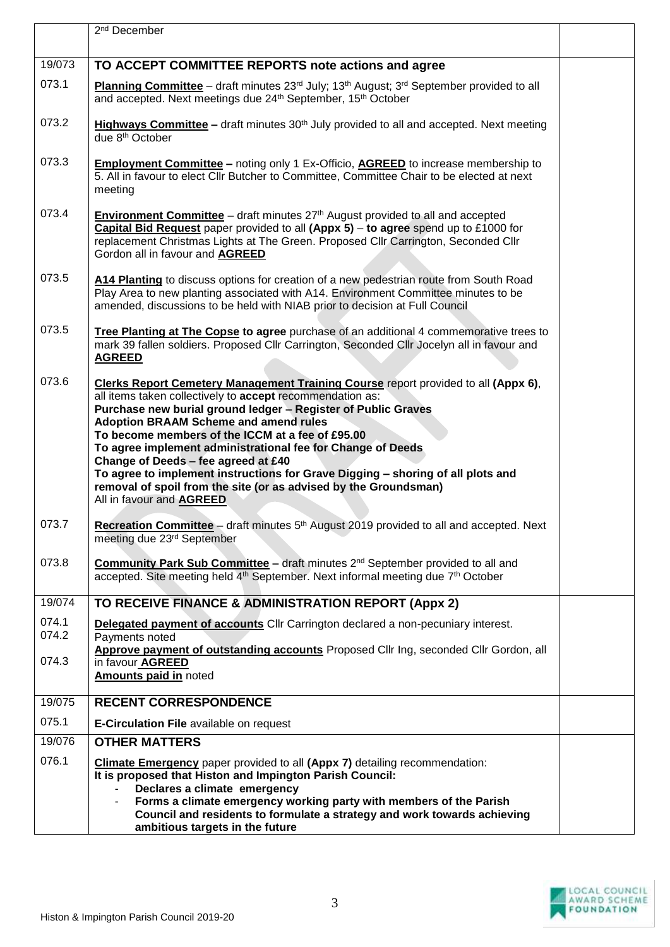|                | 2 <sup>nd</sup> December                                                                                                                                                                                                                                                                                                                                                                                                                                                                                                                                                                                             |  |
|----------------|----------------------------------------------------------------------------------------------------------------------------------------------------------------------------------------------------------------------------------------------------------------------------------------------------------------------------------------------------------------------------------------------------------------------------------------------------------------------------------------------------------------------------------------------------------------------------------------------------------------------|--|
| 19/073         | TO ACCEPT COMMITTEE REPORTS note actions and agree                                                                                                                                                                                                                                                                                                                                                                                                                                                                                                                                                                   |  |
| 073.1          | Planning Committee – draft minutes 23rd July; 13th August; 3rd September provided to all<br>and accepted. Next meetings due 24th September, 15th October                                                                                                                                                                                                                                                                                                                                                                                                                                                             |  |
| 073.2          | Highways Committee – draft minutes 30 <sup>th</sup> July provided to all and accepted. Next meeting<br>due 8 <sup>th</sup> October                                                                                                                                                                                                                                                                                                                                                                                                                                                                                   |  |
| 073.3          | <b>Employment Committee</b> – noting only 1 Ex-Officio, <b>AGREED</b> to increase membership to<br>5. All in favour to elect Cllr Butcher to Committee, Committee Chair to be elected at next<br>meeting                                                                                                                                                                                                                                                                                                                                                                                                             |  |
| 073.4          | <b>Environment Committee</b> – draft minutes $27th$ August provided to all and accepted<br>Capital Bid Request paper provided to all (Appx 5) - to agree spend up to £1000 for<br>replacement Christmas Lights at The Green. Proposed Cllr Carrington, Seconded Cllr<br>Gordon all in favour and AGREED                                                                                                                                                                                                                                                                                                              |  |
| 073.5          | A14 Planting to discuss options for creation of a new pedestrian route from South Road<br>Play Area to new planting associated with A14. Environment Committee minutes to be<br>amended, discussions to be held with NIAB prior to decision at Full Council                                                                                                                                                                                                                                                                                                                                                          |  |
| 073.5          | Tree Planting at The Copse to agree purchase of an additional 4 commemorative trees to<br>mark 39 fallen soldiers. Proposed Cllr Carrington, Seconded Cllr Jocelyn all in favour and<br><b>AGREED</b>                                                                                                                                                                                                                                                                                                                                                                                                                |  |
| 073.6          | Clerks Report Cemetery Management Training Course report provided to all (Appx 6),<br>all items taken collectively to accept recommendation as:<br>Purchase new burial ground ledger - Register of Public Graves<br><b>Adoption BRAAM Scheme and amend rules</b><br>To become members of the ICCM at a fee of £95.00<br>To agree implement administrational fee for Change of Deeds<br>Change of Deeds - fee agreed at £40<br>To agree to implement instructions for Grave Digging - shoring of all plots and<br>removal of spoil from the site (or as advised by the Groundsman)<br>All in favour and <b>AGREED</b> |  |
| 073.7          | Recreation Committee - draft minutes 5 <sup>th</sup> August 2019 provided to all and accepted. Next<br>meeting due 23rd September                                                                                                                                                                                                                                                                                                                                                                                                                                                                                    |  |
| 073.8          | <b>Community Park Sub Committee – draft minutes 2<sup>nd</sup> September provided to all and</b><br>accepted. Site meeting held 4 <sup>th</sup> September. Next informal meeting due 7 <sup>th</sup> October                                                                                                                                                                                                                                                                                                                                                                                                         |  |
| 19/074         | TO RECEIVE FINANCE & ADMINISTRATION REPORT (Appx 2)                                                                                                                                                                                                                                                                                                                                                                                                                                                                                                                                                                  |  |
| 074.1<br>074.2 | Delegated payment of accounts Cllr Carrington declared a non-pecuniary interest.<br>Payments noted                                                                                                                                                                                                                                                                                                                                                                                                                                                                                                                   |  |
| 074.3          | Approve payment of outstanding accounts Proposed Cllr Ing, seconded Cllr Gordon, all<br>in favour AGREED<br>Amounts paid in noted                                                                                                                                                                                                                                                                                                                                                                                                                                                                                    |  |
| 19/075         | <b>RECENT CORRESPONDENCE</b>                                                                                                                                                                                                                                                                                                                                                                                                                                                                                                                                                                                         |  |
| 075.1          | E-Circulation File available on request                                                                                                                                                                                                                                                                                                                                                                                                                                                                                                                                                                              |  |
| 19/076         | <b>OTHER MATTERS</b>                                                                                                                                                                                                                                                                                                                                                                                                                                                                                                                                                                                                 |  |
| 076.1          | <b>Climate Emergency</b> paper provided to all (Appx 7) detailing recommendation:<br>It is proposed that Histon and Impington Parish Council:<br>Declares a climate emergency                                                                                                                                                                                                                                                                                                                                                                                                                                        |  |
|                | Forms a climate emergency working party with members of the Parish<br>Council and residents to formulate a strategy and work towards achieving                                                                                                                                                                                                                                                                                                                                                                                                                                                                       |  |
|                | ambitious targets in the future                                                                                                                                                                                                                                                                                                                                                                                                                                                                                                                                                                                      |  |